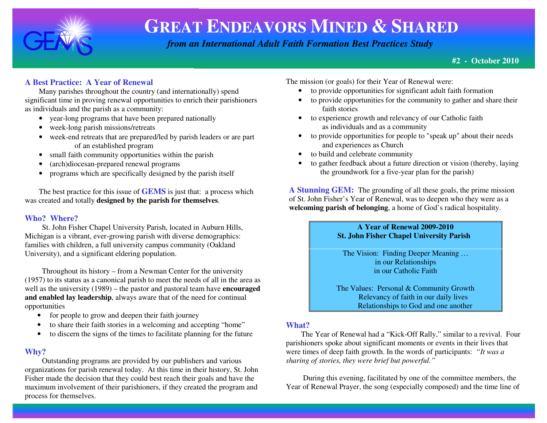

 *from an International Adult Faith Formation Best Practices Study*

**#2 - October 2010**

## **A Best Practice: A Year of Renewal**

Many parishes throughout the country (and internationally) spend significant time in proving renewal opportunities to enrich their parishioners as individuals and the parish as a community:

- year-long programs that have been prepared nationally
- week-long parish missions/retreats
- week-end retreats that are prepared/led by parish leaders or are part of an established program
- small faith community opportunities within the parish •
- •(arch)diocesan-prepared renewal programs
- $\bullet$ programs which are specifically designed by the parish itself

The best practice for this issue of **GEMS** is just that: a process which was created and totally **designed by the parish for themselves**.

### **Who? Where?**

 St. John Fisher Chapel University Parish, located in Auburn Hills, Michigan is a vibrant, ever-growing parish with diverse demographics: families with children, a full university campus community (Oakland University), and a significant eldering population.

 Throughout its history – from a Newman Center for the university (1957) to its status as a canonical parish to meet the needs of all in the area as well as the university (1989) – the pastor and pastoral team have **encouraged and enabled lay leadership**, always aware that of the need for continual opportunities

- for people to grow and deepen their faith journey
- to share their faith stories in a welcoming and accepting "home"
- to discern the signs of the times to facilitate planning for the future

#### **Why?**

 Outstanding programs are provided by our publishers and various organizations for parish renewal today. At this time in their history, St. John Fisher made the decision that they could best reach their goals and have the maximum involvement of their parishioners, if they created the program and process for themselves.

The mission (or goals) for their Year of Renewal were:

- to provide opportunities for significant adult faith formation
- to provide opportunities for the community to gather and share their faith stories
- to experience growth and relevancy of our Catholic faith as individuals and as a community
- to provide opportunities for people to "speak up" about their needs and experiences as Church
- to build and celebrate community •
- to gather feedback about a future direction or vision (thereby, laying the groundwork for a five-year plan for the parish)

**A Stunning GEM:** The grounding of all these goals, the prime missionof St. John Fisher's Year of Renewal, was to deepen who they were as a **welcoming parish of belonging**, a home of God's radical hospitality.

#### **A Year of Renewal 2009-2010** *St. John Fisher Chapel University Parish*

The Vision: Finding Deeper Meaning …in our Relationships in our Catholic Faith

The Values: Personal & Community Growth Relevancy of faith in our daily lives **Relationships to God and one another** 

### **What?**

 The Year of Renewal had a "Kick-Off Rally," similar to a revival. Four parishioners spoke about significant moments or events in their lives that were times of deep faith growth. In the words of participants: *"It was a sharing of stories, they were brief but powerful."* 

 During this evening, facilitated by one of the committee members, the Year of Renewal Prayer, the song (especially composed) and the time line of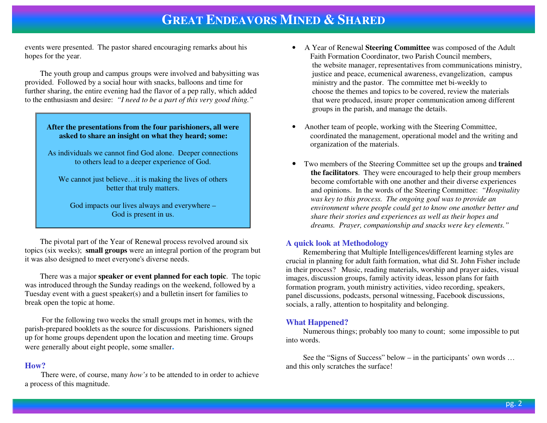events were presented. The pastor shared encouraging remarks about his hopes for the year.

 The youth group and campus groups were involved and babysitting was provided. Followed by a social hour with snacks, balloons and time for further sharing, the entire evening had the flavor of a pep rally, which added to the enthusiasm and desire: *"I need to be a part of this very good thing."* 

#### **After the presentations from the four parishioners, all were asked to share an insight on what they heard; some:**

As individuals we cannot find God alone. Deeper connections to others lead to a deeper experience of God.

We cannot just believe... it is making the lives of others better that truly matters.

God impacts our lives always and everywhere – God is present in us.

 The pivotal part of the Year of Renewal process revolved around six topics (six weeks); **small groups** were an integral portion of the program but it was also designed to meet everyone's diverse needs.

 There was a major **speaker or event planned for each topic**. The topic was introduced through the Sunday readings on the weekend, followed by a Tuesday event with a guest speaker(s) and a bulletin insert for families to break open the topic at home.

 For the following two weeks the small groups met in homes, with the parish-prepared booklets as the source for discussions. Parishioners signed up for home groups dependent upon the location and meeting time. Groups were generally about eight people, some smaller**.** 

#### **How?**

There were, of course, many *how's* to be attended to in order to achieve a process of this magnitude.

- A Year of Renewal **Steering Committee** was composed of the Adult Faith Formation Coordinator, two Parish Council members, the website manager, representatives from communications ministry, justice and peace, ecumenical awareness, evangelization, campus ministry and the pastor. The committee met bi-weekly to choose the themes and topics to be covered, review the materials that were produced, insure proper communication among different groups in the parish, and manage the details.
- • Another team of people, working with the Steering Committee, coordinated the management, operational model and the writing and organization of the materials.
- Two members of the Steering Committee set up the groups and **trained the facilitators**. They were encouraged to help their group members become comfortable with one another and their diverse experiences and opinions. In the words of the Steering Committee: *"Hospitality was key to this process. The ongoing goal was to provide an environment where people could get to know one another better and share their stories and experiences as well as their hopes and dreams. Prayer, companionship and snacks were key elements."*

#### **A quick look at Methodology**

 Remembering that Multiple Intelligences/different learning styles are crucial in planning for adult faith formation, what did St. John Fisher include in their process? Music, reading materials, worship and prayer aides, visual images, discussion groups, family activity ideas, lesson plans for faith formation program, youth ministry activities, video recording, speakers, panel discussions, podcasts, personal witnessing, Facebook discussions, socials, a rally, attention to hospitality and belonging.

#### **What Happened?**

 Numerous things; probably too many to count; some impossible to put into words.

 See the "Signs of Success" below – in the participants' own words … and this only scratches the surface!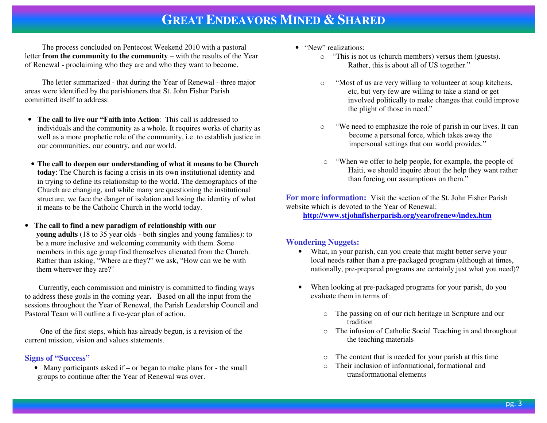The process concluded on Pentecost Weekend 2010 with a pastoral letter **from the community to the community** – with the results of the Year of Renewal - proclaiming who they are and who they want to become.

 The letter summarized - that during the Year of Renewal - three major areas were identified by the parishioners that St. John Fisher Parish committed itself to address:

- **The call to live our "Faith into Action**: This call is addressed to individuals and the community as a whole. It requires works of charity as well as a more prophetic role of the community, i.e. to establish justice in our communities, our country, and our world.
- **The call to deepen our understanding of what it means to be Church today**: The Church is facing a crisis in its own institutional identity and in trying to define its relationship to the world. The demographics of the Church are changing, and while many are questioning the institutional structure, we face the danger of isolation and losing the identity of what it means to be the Catholic Church in the world today.
- $\bullet$  **The call to find a new paradigm of relationship with our young adults** (18 to 35 year olds - both singles and young families): to be a more inclusive and welcoming community with them. Some members in this age group find themselves alienated from the Church. Rather than asking, "Where are they?" we ask, "How can we be with them wherever they are?"

Currently, each commission and ministry is committed to finding ways to address these goals in the coming year**.** Based on all the input from the sessions throughout the Year of Renewal, the Parish Leadership Council and Pastoral Team will outline a five-year plan of action.

 One of the first steps, which has already begun, is a revision of the current mission, vision and values statements.

#### **Signs of "Success"**

• Many participants asked if – or began to make plans for - the small groups to continue after the Year of Renewal was over.

- "New" realizations:
	- $\circ$  "This is not us (church members) versus them (guests). Rather, this is about all of US together."
	- o "Most of us are very willing to volunteer at soup kitchens, etc, but very few are willing to take a stand or get involved politically to make changes that could improve the plight of those in need."
	- o "We need to emphasize the role of parish in our lives. It can become a personal force, which takes away the impersonal settings that our world provides."
	- o "When we offer to help people, for example, the people of Haiti, we should inquire about the help they want rather than forcing our assumptions on them."

**For more information:** Visit the section of the St. John Fisher Parish website which is devoted to the Year of Renewal:

**http://www.stjohnfisherparish.org/yearofrenew/index.htm**

### **Wondering Nuggets:**

- What, in your parish, can you create that might better serve your local needs rather than a pre-packaged program (although at times, nationally, pre-prepared programs are certainly just what you need)?
- • When looking at pre-packaged programs for your parish, do you evaluate them in terms of:
	- o The passing on of our rich heritage in Scripture and our tradition
	- o The infusion of Catholic Social Teaching in and throughout the teaching materials
	- oThe content that is needed for your parish at this time
	- o Their inclusion of informational, formational and transformational elements